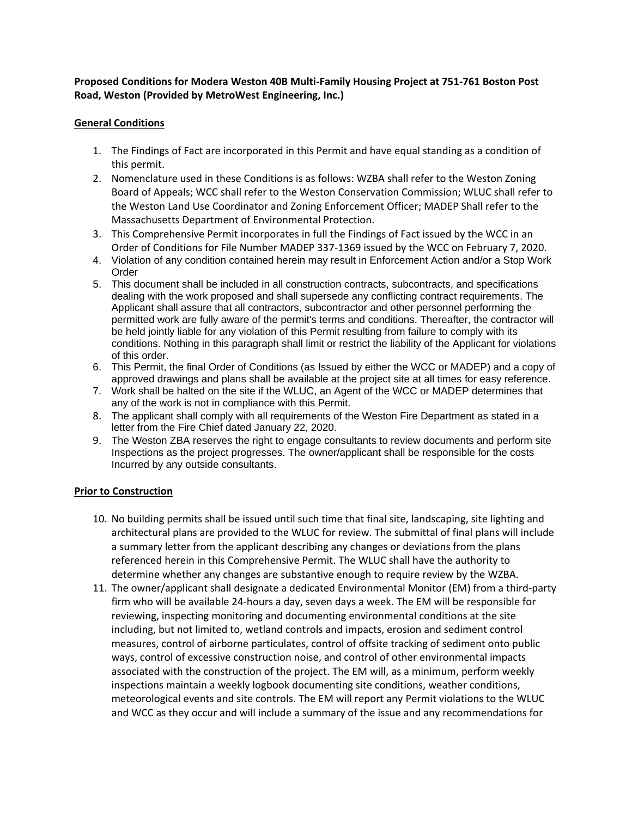## **Proposed Conditions for Modera Weston 40B Multi-Family Housing Project at 751-761 Boston Post Road, Weston (Provided by MetroWest Engineering, Inc.)**

### **General Conditions**

- 1. The Findings of Fact are incorporated in this Permit and have equal standing as a condition of this permit.
- 2. Nomenclature used in these Conditions is as follows: WZBA shall refer to the Weston Zoning Board of Appeals; WCC shall refer to the Weston Conservation Commission; WLUC shall refer to the Weston Land Use Coordinator and Zoning Enforcement Officer; MADEP Shall refer to the Massachusetts Department of Environmental Protection.
- 3. This Comprehensive Permit incorporates in full the Findings of Fact issued by the WCC in an Order of Conditions for File Number MADEP 337-1369 issued by the WCC on February 7, 2020.
- 4. Violation of any condition contained herein may result in Enforcement Action and/or a Stop Work Order
- 5. This document shall be included in all construction contracts, subcontracts, and specifications dealing with the work proposed and shall supersede any conflicting contract requirements. The Applicant shall assure that all contractors, subcontractor and other personnel performing the permitted work are fully aware of the permit's terms and conditions. Thereafter, the contractor will be held jointly liable for any violation of this Permit resulting from failure to comply with its conditions. Nothing in this paragraph shall limit or restrict the liability of the Applicant for violations of this order.
- 6. This Permit, the final Order of Conditions (as Issued by either the WCC or MADEP) and a copy of approved drawings and plans shall be available at the project site at all times for easy reference.
- 7. Work shall be halted on the site if the WLUC, an Agent of the WCC or MADEP determines that any of the work is not in compliance with this Permit.
- 8. The applicant shall comply with all requirements of the Weston Fire Department as stated in a letter from the Fire Chief dated January 22, 2020.
- 9. The Weston ZBA reserves the right to engage consultants to review documents and perform site Inspections as the project progresses. The owner/applicant shall be responsible for the costs Incurred by any outside consultants.

### **Prior to Construction**

- 10. No building permits shall be issued until such time that final site, landscaping, site lighting and architectural plans are provided to the WLUC for review. The submittal of final plans will include a summary letter from the applicant describing any changes or deviations from the plans referenced herein in this Comprehensive Permit. The WLUC shall have the authority to determine whether any changes are substantive enough to require review by the WZBA.
- 11. The owner/applicant shall designate a dedicated Environmental Monitor (EM) from a third-party firm who will be available 24-hours a day, seven days a week. The EM will be responsible for reviewing, inspecting monitoring and documenting environmental conditions at the site including, but not limited to, wetland controls and impacts, erosion and sediment control measures, control of airborne particulates, control of offsite tracking of sediment onto public ways, control of excessive construction noise, and control of other environmental impacts associated with the construction of the project. The EM will, as a minimum, perform weekly inspections maintain a weekly logbook documenting site conditions, weather conditions, meteorological events and site controls. The EM will report any Permit violations to the WLUC and WCC as they occur and will include a summary of the issue and any recommendations for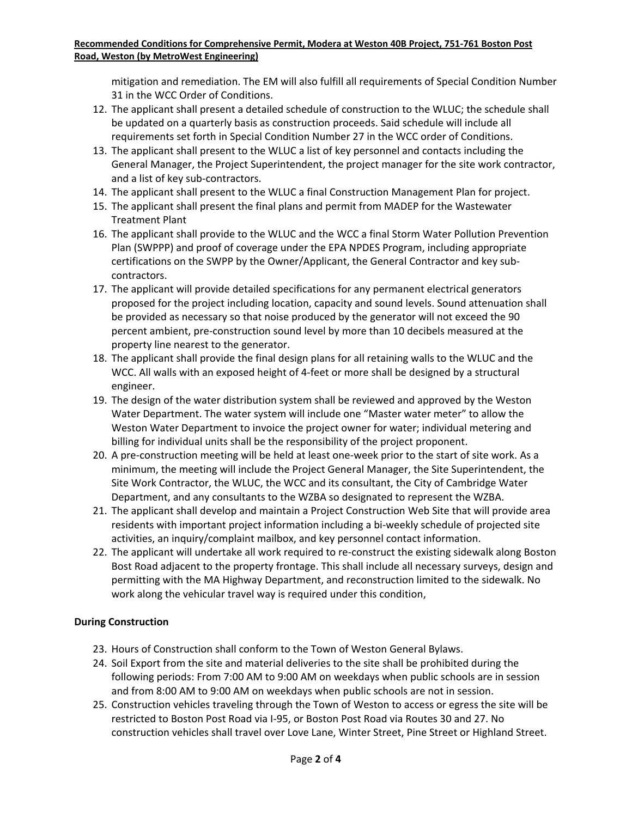mitigation and remediation. The EM will also fulfill all requirements of Special Condition Number 31 in the WCC Order of Conditions.

- 12. The applicant shall present a detailed schedule of construction to the WLUC; the schedule shall be updated on a quarterly basis as construction proceeds. Said schedule will include all requirements set forth in Special Condition Number 27 in the WCC order of Conditions.
- 13. The applicant shall present to the WLUC a list of key personnel and contacts including the General Manager, the Project Superintendent, the project manager for the site work contractor, and a list of key sub-contractors.
- 14. The applicant shall present to the WLUC a final Construction Management Plan for project.
- 15. The applicant shall present the final plans and permit from MADEP for the Wastewater Treatment Plant
- 16. The applicant shall provide to the WLUC and the WCC a final Storm Water Pollution Prevention Plan (SWPPP) and proof of coverage under the EPA NPDES Program, including appropriate certifications on the SWPP by the Owner/Applicant, the General Contractor and key subcontractors.
- 17. The applicant will provide detailed specifications for any permanent electrical generators proposed for the project including location, capacity and sound levels. Sound attenuation shall be provided as necessary so that noise produced by the generator will not exceed the 90 percent ambient, pre-construction sound level by more than 10 decibels measured at the property line nearest to the generator.
- 18. The applicant shall provide the final design plans for all retaining walls to the WLUC and the WCC. All walls with an exposed height of 4-feet or more shall be designed by a structural engineer.
- 19. The design of the water distribution system shall be reviewed and approved by the Weston Water Department. The water system will include one "Master water meter" to allow the Weston Water Department to invoice the project owner for water; individual metering and billing for individual units shall be the responsibility of the project proponent.
- 20. A pre-construction meeting will be held at least one-week prior to the start of site work. As a minimum, the meeting will include the Project General Manager, the Site Superintendent, the Site Work Contractor, the WLUC, the WCC and its consultant, the City of Cambridge Water Department, and any consultants to the WZBA so designated to represent the WZBA.
- 21. The applicant shall develop and maintain a Project Construction Web Site that will provide area residents with important project information including a bi-weekly schedule of projected site activities, an inquiry/complaint mailbox, and key personnel contact information.
- 22. The applicant will undertake all work required to re-construct the existing sidewalk along Boston Bost Road adjacent to the property frontage. This shall include all necessary surveys, design and permitting with the MA Highway Department, and reconstruction limited to the sidewalk. No work along the vehicular travel way is required under this condition,

# **During Construction**

- 23. Hours of Construction shall conform to the Town of Weston General Bylaws.
- 24. Soil Export from the site and material deliveries to the site shall be prohibited during the following periods: From 7:00 AM to 9:00 AM on weekdays when public schools are in session and from 8:00 AM to 9:00 AM on weekdays when public schools are not in session.
- 25. Construction vehicles traveling through the Town of Weston to access or egress the site will be restricted to Boston Post Road via I-95, or Boston Post Road via Routes 30 and 27. No construction vehicles shall travel over Love Lane, Winter Street, Pine Street or Highland Street.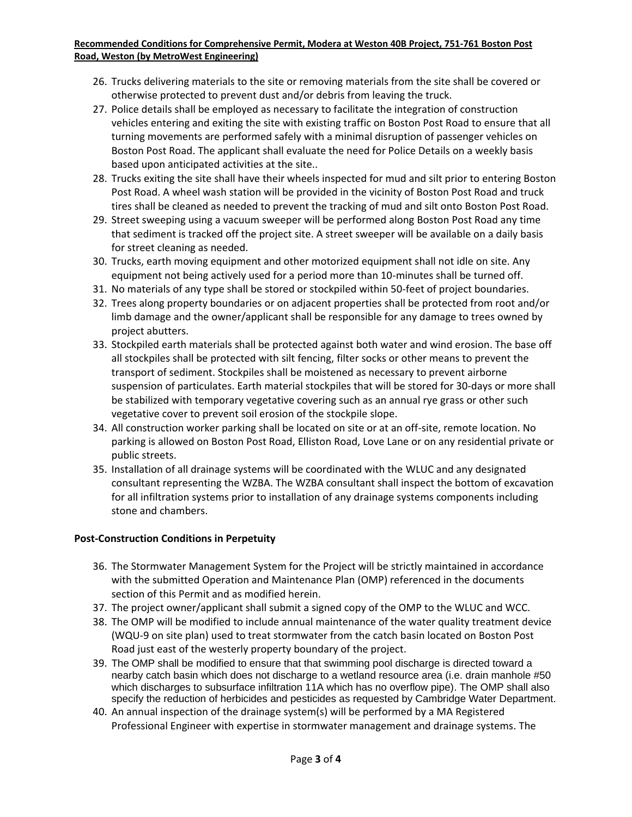- 26. Trucks delivering materials to the site or removing materials from the site shall be covered or otherwise protected to prevent dust and/or debris from leaving the truck.
- 27. Police details shall be employed as necessary to facilitate the integration of construction vehicles entering and exiting the site with existing traffic on Boston Post Road to ensure that all turning movements are performed safely with a minimal disruption of passenger vehicles on Boston Post Road. The applicant shall evaluate the need for Police Details on a weekly basis based upon anticipated activities at the site..
- 28. Trucks exiting the site shall have their wheels inspected for mud and silt prior to entering Boston Post Road. A wheel wash station will be provided in the vicinity of Boston Post Road and truck tires shall be cleaned as needed to prevent the tracking of mud and silt onto Boston Post Road.
- 29. Street sweeping using a vacuum sweeper will be performed along Boston Post Road any time that sediment is tracked off the project site. A street sweeper will be available on a daily basis for street cleaning as needed.
- 30. Trucks, earth moving equipment and other motorized equipment shall not idle on site. Any equipment not being actively used for a period more than 10-minutes shall be turned off.
- 31. No materials of any type shall be stored or stockpiled within 50-feet of project boundaries.
- 32. Trees along property boundaries or on adjacent properties shall be protected from root and/or limb damage and the owner/applicant shall be responsible for any damage to trees owned by project abutters.
- 33. Stockpiled earth materials shall be protected against both water and wind erosion. The base off all stockpiles shall be protected with silt fencing, filter socks or other means to prevent the transport of sediment. Stockpiles shall be moistened as necessary to prevent airborne suspension of particulates. Earth material stockpiles that will be stored for 30-days or more shall be stabilized with temporary vegetative covering such as an annual rye grass or other such vegetative cover to prevent soil erosion of the stockpile slope.
- 34. All construction worker parking shall be located on site or at an off-site, remote location. No parking is allowed on Boston Post Road, Elliston Road, Love Lane or on any residential private or public streets.
- 35. Installation of all drainage systems will be coordinated with the WLUC and any designated consultant representing the WZBA. The WZBA consultant shall inspect the bottom of excavation for all infiltration systems prior to installation of any drainage systems components including stone and chambers.

### **Post-Construction Conditions in Perpetuity**

- 36. The Stormwater Management System for the Project will be strictly maintained in accordance with the submitted Operation and Maintenance Plan (OMP) referenced in the documents section of this Permit and as modified herein.
- 37. The project owner/applicant shall submit a signed copy of the OMP to the WLUC and WCC.
- 38. The OMP will be modified to include annual maintenance of the water quality treatment device (WQU-9 on site plan) used to treat stormwater from the catch basin located on Boston Post Road just east of the westerly property boundary of the project.
- 39. The OMP shall be modified to ensure that that swimming pool discharge is directed toward a nearby catch basin which does not discharge to a wetland resource area (i.e. drain manhole #50 which discharges to subsurface infiltration 11A which has no overflow pipe). The OMP shall also specify the reduction of herbicides and pesticides as requested by Cambridge Water Department.
- 40. An annual inspection of the drainage system(s) will be performed by a MA Registered Professional Engineer with expertise in stormwater management and drainage systems. The